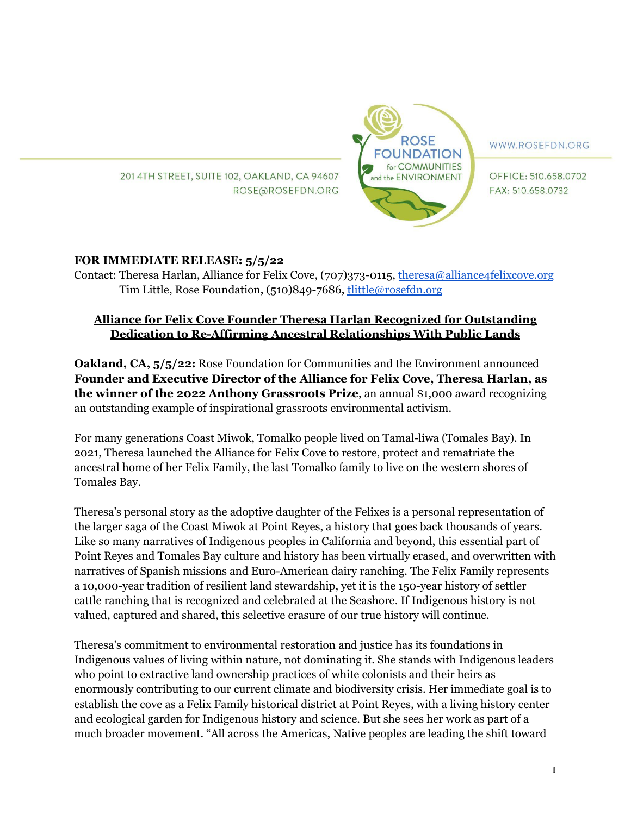201 4TH STREET, SUITE 102, OAKLAND, CA 94607 ROSE@ROSEFDN.ORG



WWW.ROSEFDN.ORG

OFFICE: 510.658.0702 FAX: 510.658.0732

## **FOR IMMEDIATE RELEASE: 5/5/22**

Contact: Theresa Harlan, Alliance for Felix Cove, (707)373-0115, [theresa@alliance4felixcove.org](mailto:theresa@alliance4felixcove.org) Tim Little, Rose Foundation, (510)849-7686, [tlittle@rosefdn.org](mailto:tlittle@rosefdn.org)

## **Alliance for Felix Cove Founder Theresa Harlan Recognized for Outstanding Dedication to Re-Affirming Ancestral Relationships With Public Lands**

**Oakland, CA, 5/5/22:** Rose Foundation for Communities and the Environment announced **Founder and Executive Director of the Alliance for Felix Cove, Theresa Harlan, as the winner of the 2022 Anthony Grassroots Prize**, an annual \$1,000 award recognizing an outstanding example of inspirational grassroots environmental activism.

For many generations Coast Miwok, Tomalko people lived on Tamal-liwa (Tomales Bay). In 2021, Theresa launched the Alliance for Felix Cove to restore, protect and rematriate the ancestral home of her Felix Family, the last Tomalko family to live on the western shores of Tomales Bay.

Theresa's personal story as the adoptive daughter of the Felixes is a personal representation of the larger saga of the Coast Miwok at Point Reyes, a history that goes back thousands of years. Like so many narratives of Indigenous peoples in California and beyond, this essential part of Point Reyes and Tomales Bay culture and history has been virtually erased, and overwritten with narratives of Spanish missions and Euro-American dairy ranching. The Felix Family represents a 10,000-year tradition of resilient land stewardship, yet it is the 150-year history of settler cattle ranching that is recognized and celebrated at the Seashore. If Indigenous history is not valued, captured and shared, this selective erasure of our true history will continue.

Theresa's commitment to environmental restoration and justice has its foundations in Indigenous values of living within nature, not dominating it. She stands with Indigenous leaders who point to extractive land ownership practices of white colonists and their heirs as enormously contributing to our current climate and biodiversity crisis. Her immediate goal is to establish the cove as a Felix Family historical district at Point Reyes, with a living history center and ecological garden for Indigenous history and science. But she sees her work as part of a much broader movement. "All across the Americas, Native peoples are leading the shift toward